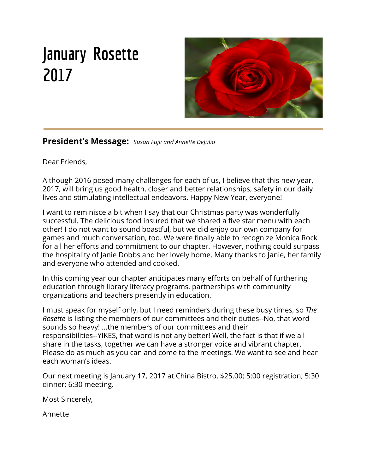# **January Rosette 2017**



**President's Message:** *Susan Fujii and Annette DeJulio*

Dear Friends,

Although 2016 posed many challenges for each of us, I believe that this new year, 2017, will bring us good health, closer and better relationships, safety in our daily lives and stimulating intellectual endeavors. Happy New Year, everyone!

I want to reminisce a bit when I say that our Christmas party was wonderfully successful. The delicious food insured that we shared a five star menu with each other! I do not want to sound boastful, but we did enjoy our own company for games and much conversation, too. We were finally able to recognize Monica Rock for all her efforts and commitment to our chapter. However, nothing could surpass the hospitality of Janie Dobbs and her lovely home. Many thanks to Janie, her family and everyone who attended and cooked.

In this coming year our chapter anticipates many efforts on behalf of furthering education through library literacy programs, partnerships with community organizations and teachers presently in education.

I must speak for myself only, but I need reminders during these busy times, so *The Rosette* is listing the members of our committees and their duties--No, that word sounds so heavy! ...the members of our committees and their responsibilities--YIKES, that word is not any better! Well, the fact is that if we all share in the tasks, together we can have a stronger voice and vibrant chapter. Please do as much as you can and come to the meetings. We want to see and hear each woman's ideas.

Our next meeting is January 17, 2017 at China Bistro, \$25.00; 5:00 registration; 5:30 dinner; 6:30 meeting.

Most Sincerely,

Annette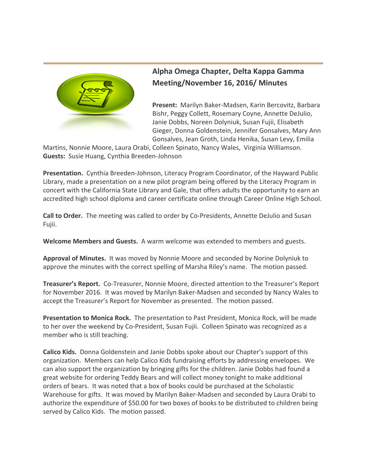

# **Alpha Omega Chapter, Delta Kappa Gamma Meeting/November 16, 2016/ Minutes**

**Present:** Marilyn Baker-Madsen, Karin Bercovitz, Barbara Bishr, Peggy Collett, Rosemary Coyne, Annette DeJulio, Janie Dobbs, Noreen Dolyniuk, Susan Fujii, Elisabeth Gieger, Donna Goldenstein, Jennifer Gonsalves, Mary Ann Gonsalves, Jean Groth, Linda Henika, Susan Levy, Emilia

Martins, Nonnie Moore, Laura Orabi, Colleen Spinato, Nancy Wales, Virginia Williamson. **Guests:** Susie Huang, Cynthia Breeden-Johnson

**Presentation.** Cynthia Breeden-Johnson, Literacy Program Coordinator, of the Hayward Public Library, made a presentation on a new pilot program being offered by the Literacy Program in concert with the California State Library and Gale, that offers adults the opportunity to earn an accredited high school diploma and career certificate online through Career Online High School.

**Call to Order.** The meeting was called to order by Co-Presidents, Annette DeJulio and Susan Fujii.

**Welcome Members and Guests.** A warm welcome was extended to members and guests.

**Approval of Minutes.** It was moved by Nonnie Moore and seconded by Norine Dolyniuk to approve the minutes with the correct spelling of Marsha Riley's name. The motion passed.

**Treasurer's Report.**  Co-Treasurer, Nonnie Moore, directed attention to the Treasurer's Report for November 2016. It was moved by Marilyn Baker-Madsen and seconded by Nancy Wales to accept the Treasurer's Report for November as presented. The motion passed.

**Presentation to Monica Rock.** The presentation to Past President, Monica Rock, will be made to her over the weekend by Co-President, Susan Fujii. Colleen Spinato was recognized as a member who is still teaching.

**Calico Kids.** Donna Goldenstein and Janie Dobbs spoke about our Chapter's support of this organization. Members can help Calico Kids fundraising efforts by addressing envelopes. We can also support the organization by bringing gifts for the children. Janie Dobbs had found a great website for ordering Teddy Bears and will collect money tonight to make additional orders of bears. It was noted that a box of books could be purchased at the Scholastic Warehouse for gifts. It was moved by Marilyn Baker-Madsen and seconded by Laura Orabi to authorize the expenditure of \$50.00 for two boxes of books to be distributed to children being served by Calico Kids. The motion passed.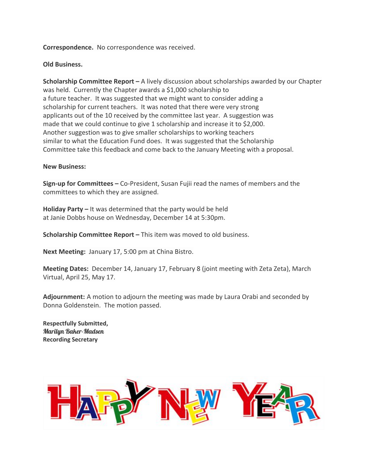## **Correspondence.** No correspondence was received.

### **Old Business.**

**Scholarship Committee Report –** A lively discussion about scholarships awarded by our Chapter was held. Currently the Chapter awards a \$1,000 scholarship to a future teacher. It was suggested that we might want to consider adding a scholarship for current teachers. It was noted that there were very strong applicants out of the 10 received by the committee last year. A suggestion was made that we could continue to give 1 scholarship and increase it to \$2,000. Another suggestion was to give smaller scholarships to working teachers similar to what the Education Fund does. It was suggested that the Scholarship Committee take this feedback and come back to the January Meeting with a proposal.

#### **New Business:**

**Sign-up for Committees –** Co-President, Susan Fujii read the names of members and the committees to which they are assigned.

**Holiday Party –** It was determined that the party would be held at Janie Dobbs house on Wednesday, December 14 at 5:30pm.

**Scholarship Committee Report –** This item was moved to old business.

**Next Meeting:** January 17, 5:00 pm at China Bistro.

**Meeting Dates:** December 14, January 17, February 8 (joint meeting with Zeta Zeta), March Virtual, April 25, May 17.

**Adjournment:** A motion to adjourn the meeting was made by Laura Orabi and seconded by Donna Goldenstein. The motion passed.

**Respectfully Submitted,** Marilyn Baker-Madsen **Recording Secretary**

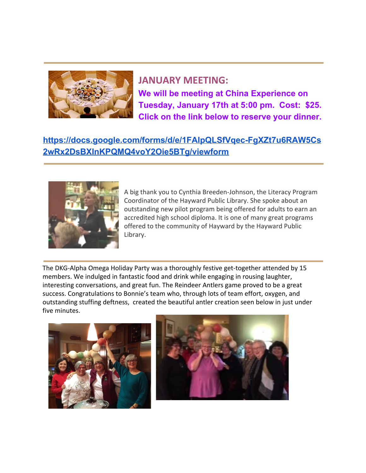

**JANUARY MEETING: We will be meeting at China Experience on Tuesday, January 17th at 5:00 pm. Cost: \$25. Click on the link below to reserve your dinner.**

# **[https://docs.google.com/forms/d/e/1FAIpQLSfVqec-FgXZt7u6RAW5Cs](https://docs.google.com/forms/d/e/1FAIpQLSfVqec-FgXZt7u6RAW5Cs2wRx2DsBXInKPQMQ4voY2Oie5BTg/viewform) [2wRx2DsBXInKPQMQ4voY2Oie5BTg/viewform](https://docs.google.com/forms/d/e/1FAIpQLSfVqec-FgXZt7u6RAW5Cs2wRx2DsBXInKPQMQ4voY2Oie5BTg/viewform)**



A big thank you to Cynthia Breeden-Johnson, the Literacy Program Coordinator of the Hayward Public Library. She spoke about an outstanding new pilot program being offered for adults to earn an accredited high school diploma. It is one of many great programs offered to the community of Hayward by the Hayward Public Library.

The DKG-Alpha Omega Holiday Party was a thoroughly festive get-together attended by 15 members. We indulged in fantastic food and drink while engaging in rousing laughter, interesting conversations, and great fun. The Reindeer Antlers game proved to be a great success. Congratulations to Bonnie's team who, through lots of team effort, oxygen, and outstanding stuffing deftness, created the beautiful antler creation seen below in just under five minutes.



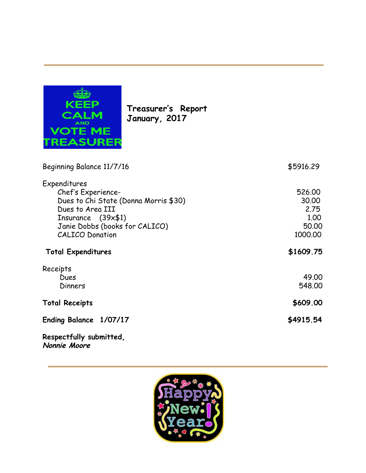

**Treasurer's Report January, 2017**

| Beginning Balance 11/7/16                                                                                                                                                                | \$5916.29                                           |
|------------------------------------------------------------------------------------------------------------------------------------------------------------------------------------------|-----------------------------------------------------|
| Expenditures<br>Chef's Experience-<br>Dues to Chi State (Donna Morris \$30)<br>Dues to Area III<br>Insurance $(39 \times 1)$<br>Janie Dobbs (books for CALICO)<br><b>CALICO Donation</b> | 526.00<br>30.00<br>2.75<br>1.00<br>50.00<br>1000.00 |
| <b>Total Expenditures</b>                                                                                                                                                                | \$1609.75                                           |
| Receipts<br>Dues<br>Dinners                                                                                                                                                              | 49.00<br>548.00                                     |
| <b>Total Receipts</b>                                                                                                                                                                    | \$609.00                                            |
| Ending Balance 1/07/17                                                                                                                                                                   | \$4915.54                                           |
| Respectfully submitted,<br>Nonnie Moore                                                                                                                                                  |                                                     |

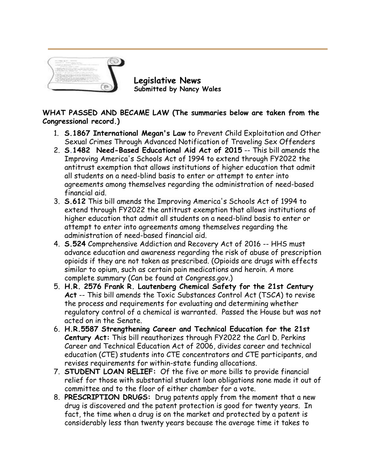

**Legislative News Submitted by Nancy Wales**

# **WHAT PASSED AND BECAME LAW (The summaries below are taken from the Congressional record.)**

- 1. **S.1867 International Megan's Law** to Prevent Child Exploitation and Other Sexual Crimes Through Advanced Notification of Traveling Sex Offenders
- 2. **[S](https://www.congress.gov/bill/114th-congress/senate-bill/1482?q=%7B%22search%22%3A%5B%22s1482%22%5D%7D&r=1)[.](https://www.congress.gov/bill/114th-congress/senate-bill/1482?q=%7B%22search%22%3A%5B%22s1482%22%5D%7D&r=1)[1482](https://www.congress.gov/bill/114th-congress/senate-bill/1482?q=%7B%22search%22%3A%5B%22s1482%22%5D%7D&r=1) Need-Based Educational Aid Act of 2015** -- This bill amends the Improving America's Schools Act of 1994 to extend through FY2022 the antitrust exemption that allows institutions of higher education that admit all students on a need-blind basis to enter or attempt to enter into agreements among themselves regarding the administration of need-based financial aid.
- 3. **S.612** This bill amends the Improving America's Schools Act of 1994 to extend through FY2022 the antitrust exemption that allows institutions of higher education that admit all students on a need-blind basis to enter or attempt to enter into agreements among themselves regarding the administration of need-based financial aid.
- 4. **S.524** Comprehensive Addiction and Recovery Act of 2016 -- HHS must advance education and awareness regarding the risk of abuse of prescription opioids if they are not taken as prescribed. (Opioids are drugs with effects similar to opium, such as certain pain medications and heroin. A more complete summary (Can be found at [Congress.gov.](http://congess.gov/))
- 5. **H.R. 2576 Frank R. Lautenberg Chemical Safety for the 21st Century Act** -- This bill amends the Toxic Substances Control Act (TSCA) to revise the process and requirements for evaluating and determining whether regulatory control of a chemical is warranted. Passed the House but was not acted on in the Senate.
- 6. **H.R.5587 Strengthening Career and Technical Education for the 21st Century Act:** This bill reauthorizes through FY2022 the Carl D. Perkins Career and Technical Education Act of 2006, divides career and technical education (CTE) students into CTE concentrators and CTE participants, and revises requirements for within-state funding allocations.
- 7. **STUDENT LOAN RELIEF:** Of the five or more bills to provide financial relief for those with substantial student loan obligations none made it out of committee and to the floor of either chamber for a vote.
- 8. **PRESCRIPTION DRUGS:** Drug patents apply from the moment that a new drug is discovered and the patent protection is good for twenty years. In fact, the time when a drug is on the market and protected by a patent is considerably less than twenty years because the average time it takes to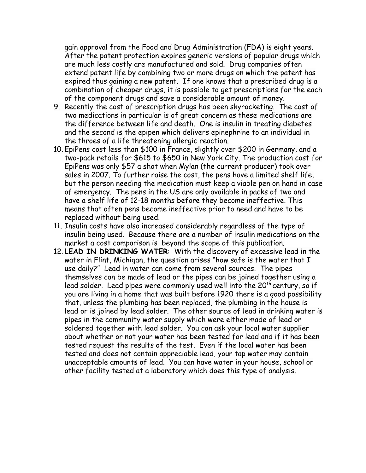gain approval from the Food and Drug Administration (FDA) is eight years. After the patent protection expires generic versions of popular drugs which are much less costly are manufactured and sold. Drug companies often extend patent life by combining two or more drugs on which the patent has expired thus gaining a new patent. If one knows that a prescribed drug is a combination of cheaper drugs, it is possible to get prescriptions for the each of the component drugs and save a considerable amount of money.

- 9. Recently the cost of prescription drugs has been skyrocketing. The cost of two medications in particular is of great concern as these medications are the difference between life and death. One is insulin in treating diabetes and the second is the epipen which delivers epinephrine to an individual in the throes of a life threatening allergic reaction.
- 10. EpiPens cost less than \$100 in France, slightly over \$200 in Germany, and a two-pack retails for \$615 to \$650 in New York City. The production cost for EpiPens was only \$57 a shot when Mylan (the current producer) took over sales in 2007. To further raise the cost, the pens have a limited shelf life, but the person needing the medication must keep a viable pen on hand in case of emergency. The pens in the US are only available in packs of two and have a shelf life of 12-18 months before they become ineffective. This means that often pens become ineffective prior to need and have to be replaced without being used.
- 11. Insulin costs have also increased considerably regardless of the type of insulin being used. Because there are a number of insulin medications on the market a cost comparison is beyond the scope of this publication.
- 12. **LEAD IN DRINKING WATER**: With the discovery of excessive lead in the water in Flint, Michigan, the question arises "how safe is the water that I use daily?" Lead in water can come from several sources. The pipes themselves can be made of lead or the pipes can be joined together using a lead solder. Lead pipes were commonly used well into the  $20<sup>th</sup>$  century, so if you are living in a home that was built before 1920 there is a good possibility that, unless the plumbing has been replaced, the plumbing in the house is lead or is joined by lead solder. The other source of lead in drinking water is pipes in the community water supply which were either made of lead or soldered together with lead solder. You can ask your local water supplier about whether or not your water has been tested for lead and if it has been tested request the results of the test. Even if the local water has been tested and does not contain appreciable lead, your tap water may contain unacceptable amounts of lead. You can have water in your house, school or other facility tested at a laboratory which does this type of analysis.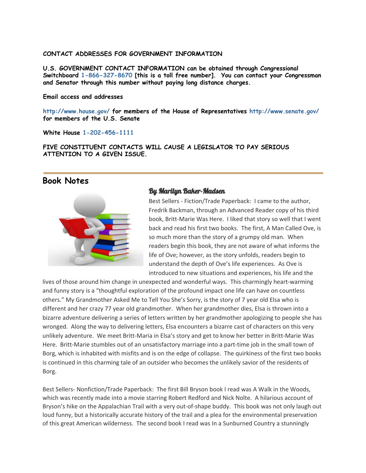#### **CONTACT ADDRESSES FOR GOVERNMENT INFORMATION**

**U.S. GOVERNMENT CONTACT INFORMATION can be obtained through Congressional Switchboard 1-866-327-8670 [this is a toll free number]. You can contact your Congressman and Senator through this number without paying long distance charges.**

#### **Email access and addresses**

**<http://www.house.gov/> for members of the House of Representatives <http://www.senate.gov/> for members of the U.S. Senate**

**White House 1-202-456-1111**

**FIVE CONSTITUENT CONTACTS WILL CAUSE A LEGISLATOR TO PAY SERIOUS ATTENTION TO A GIVEN ISSUE.**

## **Book Notes**



## By Marilyn Baker-Madsen

Best Sellers - Fiction/Trade Paperback: I came to the author, Fredrik Backman, through an Advanced Reader copy of his third book, Britt-Marie Was Here. I liked that story so well that I went back and read his first two books. The first, A Man Called Ove, is so much more than the story of a grumpy old man. When readers begin this book, they are not aware of what informs the life of Ove; however, as the story unfolds, readers begin to understand the depth of Ove's life experiences. As Ove is introduced to new situations and experiences, his life and the

lives of those around him change in unexpected and wonderful ways. This charmingly heart-warming and funny story is a "thoughtful exploration of the profound impact one life can have on countless others." My Grandmother Asked Me to Tell You She's Sorry, is the story of 7 year old Elsa who is different and her crazy 77 year old grandmother. When her grandmother dies, Elsa is thrown into a bizarre adventure delivering a series of letters written by her grandmother apologizing to people she has wronged. Along the way to delivering letters, Elsa encounters a bizarre cast of characters on this very unlikely adventure. We meet Britt-Maria in Elsa's story and get to know her better in Britt-Marie Was Here. Britt-Marie stumbles out of an unsatisfactory marriage into a part-time job in the small town of Borg, which is inhabited with misfits and is on the edge of collapse. The quirkiness of the first two books is continued in this charming tale of an outsider who becomes the unlikely savior of the residents of Borg.

Best Sellers- Nonfiction/Trade Paperback: The first Bill Bryson book I read was A Walk in the Woods, which was recently made into a movie starring Robert Redford and Nick Nolte. A hilarious account of Bryson's hike on the Appalachian Trail with a very out-of-shape buddy. This book was not only laugh out loud funny, but a historically accurate history of the trail and a plea for the environmental preservation of this great American wilderness. The second book I read was In a Sunburned Country a stunningly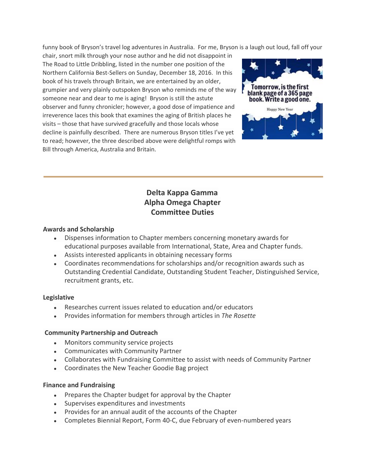funny book of Bryson's travel log adventures in Australia. For me, Bryson is a laugh out loud, fall off your

chair, snort milk through your nose author and he did not disappoint in The Road to Little Dribbling, listed in the number one position of the Northern California Best-Sellers on Sunday, December 18, 2016. In this book of his travels through Britain, we are entertained by an older, grumpier and very plainly outspoken Bryson who reminds me of the way someone near and dear to me is aging! Bryson is still the astute observer and funny chronicler; however, a good dose of impatience and irreverence laces this book that examines the aging of British places he visits – those that have survived gracefully and those locals whose decline is painfully described. There are numerous Bryson titles I've yet to read; however, the three described above were delightful romps with Bill through America, Australia and Britain.



# **Delta Kappa Gamma Alpha Omega Chapter Committee Duties**

## **Awards and Scholarship**

- Dispenses information to Chapter members concerning monetary awards for educational purposes available from International, State, Area and Chapter funds.
- Assists interested applicants in obtaining necessary forms
- Coordinates recommendations for scholarships and/or recognition awards such as Outstanding Credential Candidate, Outstanding Student Teacher, Distinguished Service, recruitment grants, etc.

## **Legislative**

- Researches current issues related to education and/or educators
- Provides information for members through articles in *The Rosette*

## **Community Partnership and Outreach**

- Monitors community service projects
- Communicates with Community Partner
- Collaborates with Fundraising Committee to assist with needs of Community Partner
- Coordinates the New Teacher Goodie Bag project

## **Finance and Fundraising**

- Prepares the Chapter budget for approval by the Chapter
- Supervises expenditures and investments
- Provides for an annual audit of the accounts of the Chapter
- Completes Biennial Report, Form 40-C, due February of even-numbered years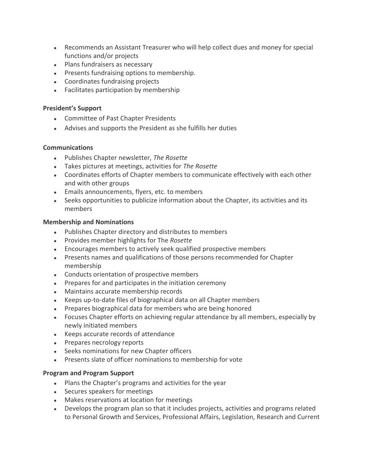- Recommends an Assistant Treasurer who will help collect dues and money for special functions and/or projects
- Plans fundraisers as necessary
- Presents fundraising options to membership.
- Coordinates fundraising projects
- Facilitates participation by membership

## **President's Support**

- Committee of Past Chapter Presidents
- Advises and supports the President as she fulfills her duties

## **Communications**

- Publishes Chapter newsletter, *The Rosette*
- Takes pictures at meetings, activities for *The Rosette*
- Coordinates efforts of Chapter members to communicate effectively with each other and with other groups
- Emails announcements, flyers, etc. to members
- Seeks opportunities to publicize information about the Chapter, its activities and its members

## **Membership and Nominations**

- Publishes Chapter directory and distributes to members
- Provides member highlights for The *Rosette*
- Encourages members to actively seek qualified prospective members
- Presents names and qualifications of those persons recommended for Chapter membership
- Conducts orientation of prospective members
- Prepares for and participates in the initiation ceremony
- Maintains accurate membership records
- Keeps up-to-date files of biographical data on all Chapter members
- Prepares biographical data for members who are being honored
- Focuses Chapter efforts on achieving regular attendance by all members, especially by newly initiated members
- Keeps accurate records of attendance
- Prepares necrology reports
- Seeks nominations for new Chapter officers
- Presents slate of officer nominations to membership for vote

## **Program and Program Support**

- Plans the Chapter's programs and activities for the year
- Secures speakers for meetings
- Makes reservations at location for meetings
- Develops the program plan so that it includes projects, activities and programs related to Personal Growth and Services, Professional Affairs, Legislation, Research and Current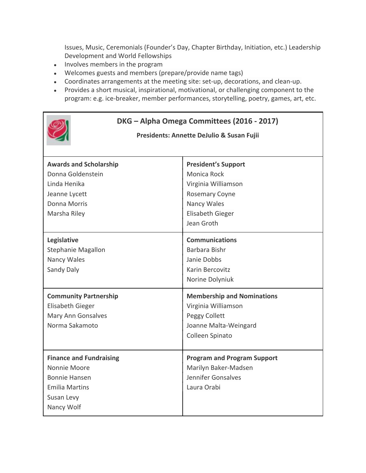Issues, Music, Ceremonials (Founder's Day, Chapter Birthday, Initiation, etc.) Leadership Development and World Fellowships

- Involves members in the program
- Welcomes guests and members (prepare/provide name tags)
- Coordinates arrangements at the meeting site: set-up, decorations, and clean-up.
- Provides a short musical, inspirational, motivational, or challenging component to the program: e.g. ice-breaker, member performances, storytelling, poetry, games, art, etc.





## **Presidents: Annette DeJulio & Susan Fujii**

| <b>Awards and Scholarship</b>  | <b>President's Support</b>         |
|--------------------------------|------------------------------------|
| Donna Goldenstein              | Monica Rock                        |
| Linda Henika                   | Virginia Williamson                |
| Jeanne Lycett                  | <b>Rosemary Coyne</b>              |
| Donna Morris                   | Nancy Wales                        |
| Marsha Riley                   | <b>Elisabeth Gieger</b>            |
|                                | Jean Groth                         |
| Legislative                    | <b>Communications</b>              |
| Stephanie Magallon             | Barbara Bishr                      |
| Nancy Wales                    | Janie Dobbs                        |
| Sandy Daly                     | Karin Bercovitz                    |
|                                | Norine Dolyniuk                    |
| <b>Community Partnership</b>   | <b>Membership and Nominations</b>  |
| <b>Elisabeth Gieger</b>        | Virginia Williamson                |
| Mary Ann Gonsalves             | Peggy Collett                      |
| Norma Sakamoto                 | Joanne Malta-Weingard              |
|                                | Colleen Spinato                    |
|                                |                                    |
| <b>Finance and Fundraising</b> | <b>Program and Program Support</b> |
| Nonnie Moore                   | Marilyn Baker-Madsen               |
| <b>Bonnie Hansen</b>           | Jennifer Gonsalves                 |
| <b>Emilia Martins</b>          | Laura Orabi                        |
| Susan Levy                     |                                    |
| Nancy Wolf                     |                                    |
|                                |                                    |